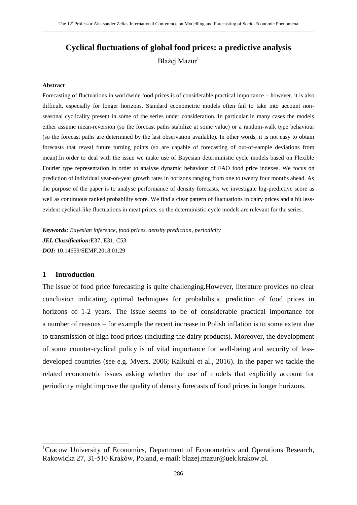# **Cyclical fluctuations of global food prices: a predictive analysis** Błażej Mazur<sup>1</sup>

#### **Abstract**

Forecasting of fluctuations in worldwide food prices is of considerable practical importance – however, it is also difficult, especially for longer horizons. Standard econometric models often fail to take into account nonseasonal cyclicality present in some of the series under consideration. In particular in many cases the models either assume mean-reversion (so the forecast paths stabilize at some value) or a random-walk type behaviour (so the forecast paths are determined by the last observation available). In other words, it is not easy to obtain forecasts that reveal future turning points (so are capable of forecasting of out-of-sample deviations from mean).In order to deal with the issue we make use of Bayesian deterministic cycle models based on Flexible Fourier type representation in order to analyse dynamic behaviour of FAO food price indexes. We focus on prediction of individual year-on-year growth rates in horizons ranging from one to twenty four months ahead. As the purpose of the paper is to analyse performance of density forecasts, we investigate log-predictive score as well as continuous ranked probability score. We find a clear pattern of fluctuations in dairy prices and a bit lessevident cyclical-like fluctuations in meat prices, so the deterministic-cycle models are relevant for the series.

*Keywords: Bayesian inference, food prices, density prediction, periodicity JEL Classification:*E37; E31; C53 *DOI:* 10.14659/SEMF.2018.01.29

## **1 Introduction**

l

The issue of food price forecasting is quite challenging.However, literature provides no clear conclusion indicating optimal techniques for probabilistic prediction of food prices in horizons of 1-2 years. The issue seems to be of considerable practical importance for a number of reasons – for example the recent increase in Polish inflation is to some extent due to transmission of high food prices (including the dairy products). Moreover, the development of some counter-cyclical policy is of vital importance for well-being and security of lessdeveloped countries (see e.g. Myers, 2006; Kalkuhl et al., 2016). In the paper we tackle the related econometric issues asking whether the use of models that explicitly account for periodicity might improve the quality of density forecasts of food prices in longer horizons.

<sup>&</sup>lt;sup>1</sup>Cracow University of Economics, Department of Econometrics and Operations Research, Rakowicka 27, 31-510 Kraków, Poland, e-mail: blazej.mazur@uek.krakow.pl.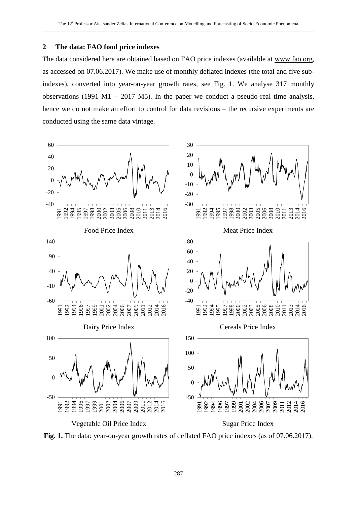### **The data: FAO food price indexes**

The data considered here are obtained based on FAO price indexes (available at [www.fao.org,](http://www.fao.org/) as accessed on 07.06.2017). We make use of monthly deflated indexes (the total and five subindexes), converted into year-on-year growth rates, see Fig. 1. We analyse 317 monthly observations (1991 M1 – 2017 M5). In the paper we conduct a pseudo-real time analysis, hence we do not make an effort to control for data revisions – the recursive experiments are conducted using the same data vintage.



**Fig. 1.** The data: year-on-year growth rates of deflated FAO price indexes (as of 07.06.2017).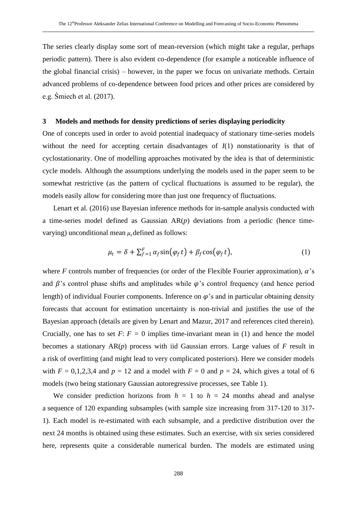The series clearly display some sort of mean-reversion (which might take a regular, perhaps periodic pattern). There is also evident co-dependence (for example a noticeable influence of the global financial crisis) – however, in the paper we focus on univariate methods. Certain advanced problems of co-dependence between food prices and other prices are considered by e.g. Śmiech et al. (2017).

### **3 Models and methods for density predictions of series displaying periodicity**

One of concepts used in order to avoid potential inadequacy of stationary time-series models without the need for accepting certain disadvantages of  $I(1)$  nonstationarity is that of cyclostationarity. One of modelling approaches motivated by the idea is that of deterministic cycle models. Although the assumptions underlying the models used in the paper seem to be somewhat restrictive (as the pattern of cyclical fluctuations is assumed to be regular), the models easily allow for considering more than just one frequency of fluctuations.

Lenart et al. (2016) use Bayesian inference methods for in-sample analysis conducted with a time-series model defined as Gaussian AR(*p*) deviations from a periodic (hence timevarying) unconditional mean  $\mu_t$  defined as follows:

$$
\mu_t = \delta + \sum_{f=1}^F \alpha_f \sin(\varphi_f t) + \beta_f \cos(\varphi_f t), \tag{1}
$$

where *F* controls number of frequencies (or order of the Flexible Fourier approximation),  $\alpha$ 's and  $\beta$ 's control phase shifts and amplitudes while  $\varphi$ 's control frequency (and hence period length) of individual Fourier components. Inference on  $\varphi$ 's and in particular obtaining density forecasts that account for estimation uncertainty is non-trivial and justifies the use of the Bayesian approach (details are given by Lenart and Mazur, 2017 and references cited therein). Crucially, one has to set  $F: F = 0$  implies time-invariant mean in (1) and hence the model becomes a stationary AR(*p*) process with iid Gaussian errors. Large values of *F* result in a risk of overfitting (and might lead to very complicated posteriors). Here we consider models with  $F = 0,1,2,3,4$  and  $p = 12$  and a model with  $F = 0$  and  $p = 24$ , which gives a total of 6 models (two being stationary Gaussian autoregressive processes, see Table 1).

We consider prediction horizons from  $h = 1$  to  $h = 24$  months ahead and analyse a sequence of 120 expanding subsamples (with sample size increasing from 317-120 to 317- 1). Each model is re-estimated with each subsample, and a predictive distribution over the next 24 months is obtained using these estimates. Such an exercise, with six series considered here, represents quite a considerable numerical burden. The models are estimated using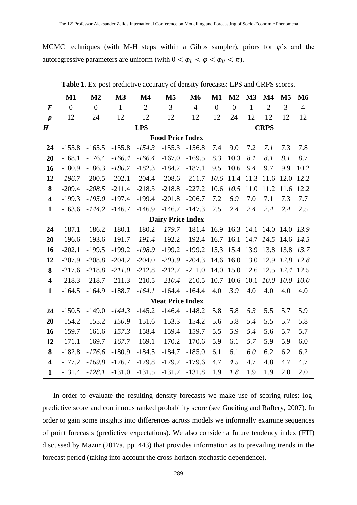MCMC techniques (with M-H steps within a Gibbs sampler), priors for  $\varphi$ 's and the autoregressive parameters are uniform (with  $0 < \phi_L < \phi < \phi_U < \pi$ ).

|                          | $\mathbf{M1}$             | M <sub>2</sub> | M3           | $\mathbf{M}4$  | M <sub>5</sub> | M <sub>6</sub> | $M1$           | M <sub>2</sub> | M3                  | $\mathbf{M}4$  | M <sub>5</sub> | M6             |
|--------------------------|---------------------------|----------------|--------------|----------------|----------------|----------------|----------------|----------------|---------------------|----------------|----------------|----------------|
| $\bm{F}$                 | $\overline{0}$            | $\overline{0}$ | $\mathbf{1}$ | $\overline{2}$ | 3              | $\overline{4}$ | $\overline{0}$ | $\overline{0}$ | $\mathbf{1}$        | $\overline{2}$ | $\overline{3}$ | $\overline{4}$ |
| $\boldsymbol{p}$         | 12                        | 24             | 12           | 12             | 12             | 12             | 12             | 24             | 12                  | 12             | 12             | 12             |
| $\boldsymbol{H}$         | <b>LPS</b><br><b>CRPS</b> |                |              |                |                |                |                |                |                     |                |                |                |
| <b>Food Price Index</b>  |                           |                |              |                |                |                |                |                |                     |                |                |                |
| 24                       | $-155.8$                  | $-165.5$       | $-155.8$     | $-154.3$       | $-155.3$       | $-156.8$       | 7.4            | 9.0            | 7.2                 | 7.1            | 7.3            | 7.8            |
| 20                       | $-168.1$                  | $-176.4$       | $-166.4$     | $-166.4$       | $-167.0$       | $-169.5$       | 8.3            | 10.3           | 8.1                 | 8.1            | 8.1            | 8.7            |
| 16                       | $-180.9$                  | $-186.3$       | $-180.7$     | $-182.3$       | $-184.2$       | $-187.1$       | 9.5            | 10.6           | 9.4                 | 9.7            | 9.9            | 10.2           |
| 12                       | $-196.7$                  | $-200.5$       | $-202.1$     | $-204.4$       | $-208.6$       | $-211.7$       | 10.6           | 11.4           | 11.3                | 11.6           | 12.0           | 12.2           |
| 8                        | $-209.4$                  | $-208.5$       | $-211.4$     | $-218.3$       | $-218.8$       | $-227.2$       | 10.6           | 10.5           | 11.0                | 11.2           | 11.6           | 12.2           |
| $\overline{\mathbf{4}}$  | $-199.3$                  | $-195.0$       | $-197.4$     | $-199.4$       | $-201.8$       | $-206.7$       | 7.2            | 6.9            | 7.0                 | 7.1            | 7.3            | 7.7            |
| $\mathbf{1}$             | $-163.6$                  | $-144.2$       | $-146.7$     | $-146.9$       | $-146.7$       | $-147.3$       | 2.5            | 2.4            | 2.4                 | 2.4            | 2.4            | 2.5            |
| <b>Dairy Price Index</b> |                           |                |              |                |                |                |                |                |                     |                |                |                |
| 24                       | $-187.1$                  | $-186.2$       | $-180.1$     | $-180.2$       | $-179.7$       | $-181.4$       |                |                | 16.9 16.3 14.1 14.0 |                | 14.0 13.9      |                |
| 20                       | $-196.6$                  | $-193.6$       | $-191.7$     | $-191.4$       | $-192.2$       | $-192.4$       | 16.7           | 16.1           |                     | 14.7 14.5      | 14.6 14.5      |                |
| 16                       | $-202.1$                  | $-199.5$       | $-199.2$     | $-198.9$       | $-199.2$       | $-199.2$       | 15.3           |                | 15.4 13.9 13.8      |                | 13.8 13.7      |                |
| 12                       | $-207.9$                  | $-208.8$       | $-204.2$     | $-204.0$       | $-203.9$       | $-204.3$       | 14.6           | 16.0           | 13.0                | 12.9           | 12.8 12.8      |                |
| 8                        | $-217.6$                  | $-218.8$       | $-211.0$     | $-212.8$       | $-212.7$       | $-211.0$       | 14.0           | 15.0           | 12.6 12.5           |                | 12.4           | 12.5           |
| $\overline{\mathbf{4}}$  | $-218.3$                  | $-218.7$       | $-211.3$     | $-210.5$       | $-210.4$       | $-210.5$       | 10.7           | 10.6           | 10.1                | 10.0           | 10.0           | 10.0           |
| $\mathbf{1}$             | $-164.5$                  | $-164.9$       | $-188.7$     | $-164.1$       | $-164.4$       | $-164.4$       | 4.0            | 3.9            | 4.0                 | 4.0            | 4.0            | 4.0            |
| <b>Meat Price Index</b>  |                           |                |              |                |                |                |                |                |                     |                |                |                |
| 24                       | $-150.5$                  | $-149.0$       | $-144.3$     | $-145.2$       | $-146.4$       | $-148.2$       | 5.8            | 5.8            | 5.3                 | 5.5            | 5.7            | 5.9            |
| 20                       | $-154.2$                  | $-155.2$       | $-150.9$     | $-151.6$       | $-153.3$       | $-154.2$       | 5.6            | 5.8            | 5.4                 | 5.5            | 5.7            | 5.8            |
| 16                       | $-159.7$                  | $-161.6$       | $-157.3$     | $-158.4$       | $-159.4$       | $-159.7$       | 5.5            | 5.9            | 5.4                 | 5.6            | 5.7            | 5.7            |
| 12                       | $-171.1$                  | $-169.7$       | $-167.7$     | $-169.1$       | $-170.2$       | $-170.6$       | 5.9            | 6.1            | 5.7                 | 5.9            | 5.9            | 6.0            |
| 8                        | $-182.8$                  | $-176.6$       | $-180.9$     | $-184.5$       | $-184.7$       | $-185.0$       | 6.1            | 6.1            | 6.0                 | 6.2            | 6.2            | 6.2            |
| $\overline{\mathbf{4}}$  | $-177.2$                  | $-169.8$       | $-176.7$     | $-179.8$       | $-179.7$       | $-179.6$       | 4.7            | 4.5            | 4.7                 | 4.8            | 4.7            | 4.7            |
| $\mathbf{1}$             | $-131.4$                  | $-128.1$       | $-131.0$     | $-131.5$       | $-131.7$       | $-131.8$       | 1.9            | 1.8            | 1.9                 | 1.9            | 2.0            | 2.0            |

**Table 1.** Ex-post predictive accuracy of density forecasts: LPS and CRPS scores.

In order to evaluate the resulting density forecasts we make use of scoring rules: logpredictive score and continuous ranked probability score (see Gneiting and Raftery, 2007). In order to gain some insights into differences across models we informally examine sequences of point forecasts (predictive expectations). We also consider a future tendency index (FTI) discussed by Mazur (2017a, pp. 443) that provides information as to prevailing trends in the forecast period (taking into account the cross-horizon stochastic dependence).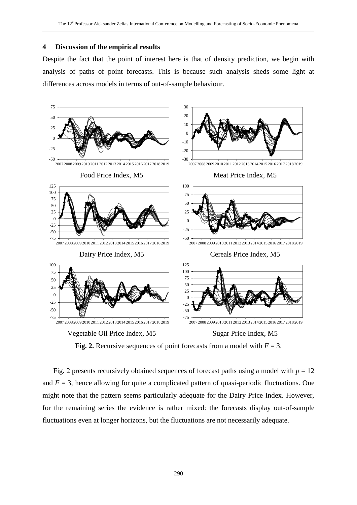#### **4 Discussion of the empirical results**

Despite the fact that the point of interest here is that of density prediction, we begin with analysis of paths of point forecasts. This is because such analysis sheds some light at differences across models in terms of out-of-sample behaviour.



**Fig. 2.** Recursive sequences of point forecasts from a model with  $F = 3$ .

Fig. 2 presents recursively obtained sequences of forecast paths using a model with  $p = 12$ and  $F = 3$ , hence allowing for quite a complicated pattern of quasi-periodic fluctuations. One might note that the pattern seems particularly adequate for the Dairy Price Index. However, for the remaining series the evidence is rather mixed: the forecasts display out-of-sample fluctuations even at longer horizons, but the fluctuations are not necessarily adequate.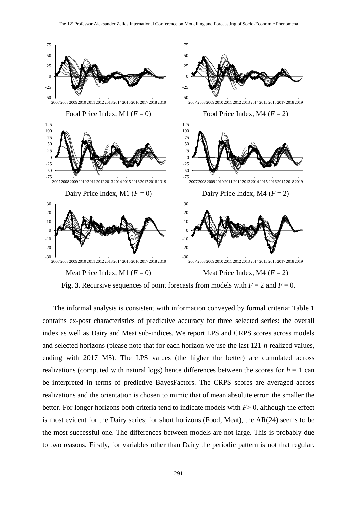

**Fig. 3.** Recursive sequences of point forecasts from models with  $F = 2$  and  $F = 0$ .

The informal analysis is consistent with information conveyed by formal criteria: Table 1 contains ex-post characteristics of predictive accuracy for three selected series: the overall index as well as Dairy and Meat sub-indices. We report LPS and CRPS scores across models and selected horizons (please note that for each horizon we use the last 121-*h* realized values, ending with 2017 M5). The LPS values (the higher the better) are cumulated across realizations (computed with natural logs) hence differences between the scores for  $h = 1$  can be interpreted in terms of predictive BayesFactors. The CRPS scores are averaged across realizations and the orientation is chosen to mimic that of mean absolute error: the smaller the better. For longer horizons both criteria tend to indicate models with *F*> 0, although the effect is most evident for the Dairy series; for short horizons (Food, Meat), the AR(24) seems to be the most successful one. The differences between models are not large. This is probably due to two reasons. Firstly, for variables other than Dairy the periodic pattern is not that regular.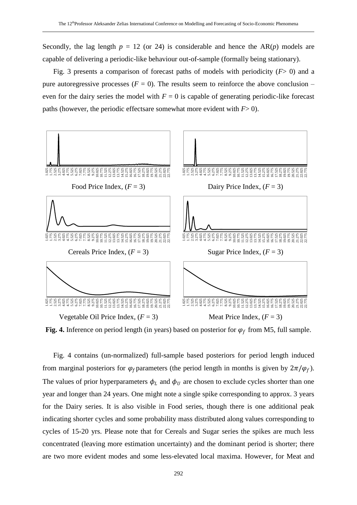Secondly, the lag length  $p = 12$  (or 24) is considerable and hence the  $AR(p)$  models are capable of delivering a periodic-like behaviour out-of-sample (formally being stationary).

Fig. 3 presents a comparison of forecast paths of models with periodicity (*F*> 0) and a pure autoregressive processes  $(F = 0)$ . The results seem to reinforce the above conclusion – even for the dairy series the model with  $F = 0$  is capable of generating periodic-like forecast paths (however, the periodic effects are somewhat more evident with  $F > 0$ ).



Fig. 4. Inference on period length (in years) based on posterior for  $\varphi_f$  from M5, full sample.

Fig. 4 contains (un-normalized) full-sample based posteriors for period length induced from marginal posteriors for  $\varphi_f$  parameters (the period length in months is given by  $2\pi/\varphi_f$ ). The values of prior hyperparameters  $\phi_L$  and  $\phi_U$  are chosen to exclude cycles shorter than one year and longer than 24 years. One might note a single spike corresponding to approx. 3 years for the Dairy series. It is also visible in Food series, though there is one additional peak indicating shorter cycles and some probability mass distributed along values corresponding to cycles of 15-20 yrs. Please note that for Cereals and Sugar series the spikes are much less concentrated (leaving more estimation uncertainty) and the dominant period is shorter; there are two more evident modes and some less-elevated local maxima. However, for Meat and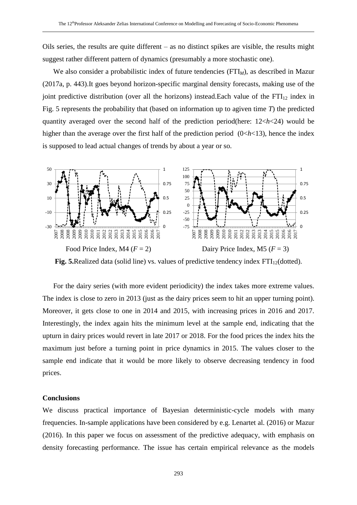Oils series, the results are quite different – as no distinct spikes are visible, the results might suggest rather different pattern of dynamics (presumably a more stochastic one).

We also consider a probabilistic index of future tendencies (FTI<sub>M</sub>), as described in Mazur (2017a, p. 443).It goes beyond horizon-specific marginal density forecasts, making use of the joint predictive distribution (over all the horizons) instead.Each value of the  $FTI<sub>12</sub>$  index in Fig. 5 represents the probability that (based on information up to agiven time *T*) the predicted quantity averaged over the second half of the prediction period(here: 12<*h*<24) would be higher than the average over the first half of the prediction period (0<*h*<13), hence the index is supposed to lead actual changes of trends by about a year or so.



**Fig. 5.**Realized data (solid line) vs. values of predictive tendency index  $FTI_{12}$ (dotted).

For the dairy series (with more evident periodicity) the index takes more extreme values. The index is close to zero in 2013 (just as the dairy prices seem to hit an upper turning point). Moreover, it gets close to one in 2014 and 2015, with increasing prices in 2016 and 2017. Interestingly, the index again hits the minimum level at the sample end, indicating that the upturn in dairy prices would revert in late 2017 or 2018. For the food prices the index hits the maximum just before a turning point in price dynamics in 2015. The values closer to the sample end indicate that it would be more likely to observe decreasing tendency in food prices.

#### **Conclusions**

We discuss practical importance of Bayesian deterministic-cycle models with many frequencies. In-sample applications have been considered by e.g. Lenartet al. (2016) or Mazur (2016). In this paper we focus on assessment of the predictive adequacy, with emphasis on density forecasting performance. The issue has certain empirical relevance as the models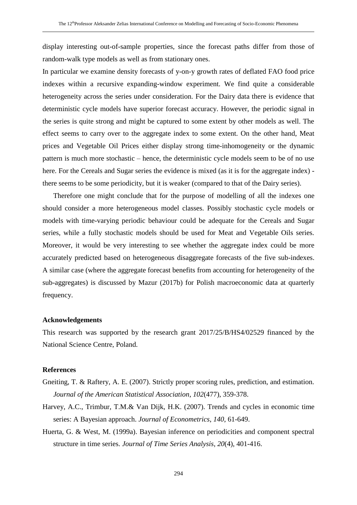display interesting out-of-sample properties, since the forecast paths differ from those of random-walk type models as well as from stationary ones.

In particular we examine density forecasts of y-on-y growth rates of deflated FAO food price indexes within a recursive expanding-window experiment. We find quite a considerable heterogeneity across the series under consideration. For the Dairy data there is evidence that deterministic cycle models have superior forecast accuracy. However, the periodic signal in the series is quite strong and might be captured to some extent by other models as well. The effect seems to carry over to the aggregate index to some extent. On the other hand, Meat prices and Vegetable Oil Prices either display strong time-inhomogeneity or the dynamic pattern is much more stochastic – hence, the deterministic cycle models seem to be of no use here. For the Cereals and Sugar series the evidence is mixed (as it is for the aggregate index) there seems to be some periodicity, but it is weaker (compared to that of the Dairy series).

Therefore one might conclude that for the purpose of modelling of all the indexes one should consider a more heterogeneous model classes. Possibly stochastic cycle models or models with time-varying periodic behaviour could be adequate for the Cereals and Sugar series, while a fully stochastic models should be used for Meat and Vegetable Oils series. Moreover, it would be very interesting to see whether the aggregate index could be more accurately predicted based on heterogeneous disaggregate forecasts of the five sub-indexes. A similar case (where the aggregate forecast benefits from accounting for heterogeneity of the sub-aggregates) is discussed by Mazur (2017b) for Polish macroeconomic data at quarterly frequency.

## **Acknowledgements**

This research was supported by the research grant 2017/25/B/HS4/02529 financed by the National Science Centre, Poland.

### **References**

- Gneiting, T. & Raftery, A. E. (2007). Strictly proper scoring rules, prediction, and estimation. *Journal of the American Statistical Association*, *102*(477), 359-378.
- Harvey, A.C., Trimbur, T.M.& Van Dijk, H.K. (2007). Trends and cycles in economic time series: A Bayesian approach. *Journal of Econometrics*, *140*, 61-649.
- Huerta, G. & West, M. (1999a). Bayesian inference on periodicities and component spectral structure in time series. *Journal of Time Series Analysis*, *20*(4), 401-416.